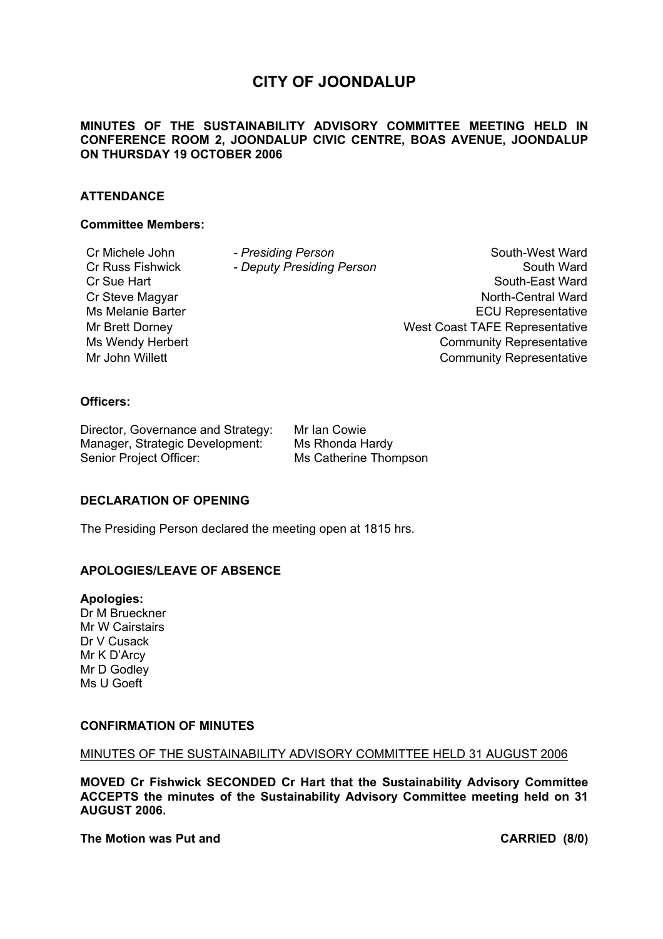# **CITY OF JOONDALUP**

## **MINUTES OF THE SUSTAINABILITY ADVISORY COMMITTEE MEETING HELD IN CONFERENCE ROOM 2, JOONDALUP CIVIC CENTRE, BOAS AVENUE, JOONDALUP ON THURSDAY 19 OCTOBER 2006**

## **ATTENDANCE**

#### **Committee Members:**

Cr Michele John *- Presiding Person* South-West Ward Cr Russ Fishwick *- Deputy Presiding Person* South Ward Cr Sue Hart South-East Ward South-East Ward South-East Ward Cr Steve Magyar North-Central Ward Ms Melanie Barter **ECU** Representative Mr Brett Dorney West Coast TAFE Representative Ms Wendy Herbert **Community Representative** Mr John Willett **Community Representative** 

## **Officers:**

Director, Governance and Strategy: Mr Ian Cowie Manager, Strategic Development: Ms Rhonda Hardy Senior Project Officer: Ms Catherine Thompson

#### **DECLARATION OF OPENING**

The Presiding Person declared the meeting open at 1815 hrs.

## **APOLOGIES/LEAVE OF ABSENCE**

**Apologies:**  Dr M Brueckner Mr W Cairstairs Dr V Cusack Mr K D'Arcy Mr D Godley Ms U Goeft

## **CONFIRMATION OF MINUTES**

#### MINUTES OF THE SUSTAINABILITY ADVISORY COMMITTEE HELD 31 AUGUST 2006

**MOVED Cr Fishwick SECONDED Cr Hart that the Sustainability Advisory Committee ACCEPTS the minutes of the Sustainability Advisory Committee meeting held on 31 AUGUST 2006.** 

**The Motion was Put and CARRIED (8/0)**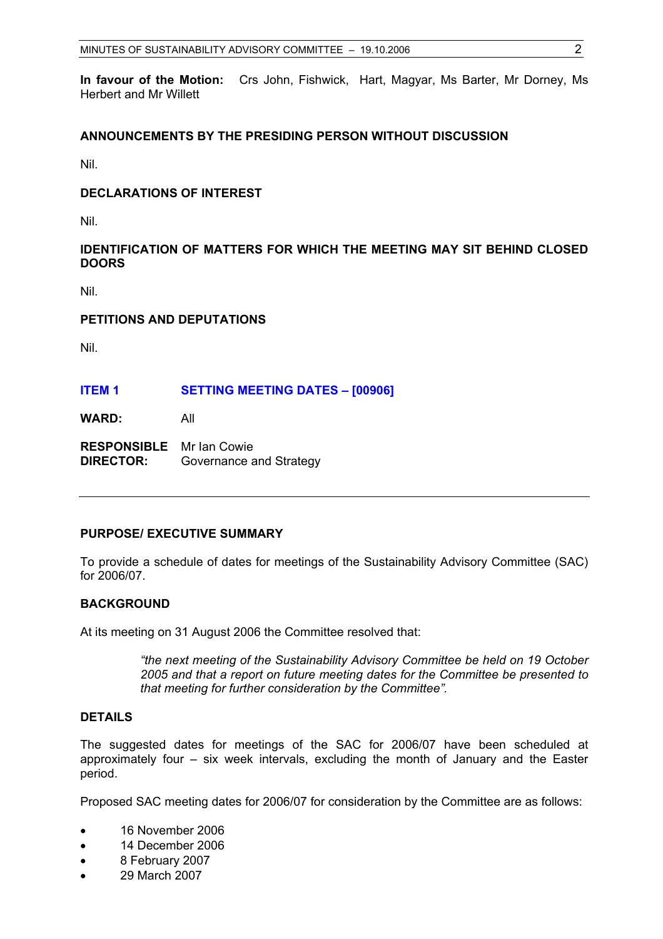**In favour of the Motion:** Crs John, Fishwick, Hart, Magyar, Ms Barter, Mr Dorney, Ms Herbert and Mr Willett

## **ANNOUNCEMENTS BY THE PRESIDING PERSON WITHOUT DISCUSSION**

Nil.

## **DECLARATIONS OF INTEREST**

Nil.

## **IDENTIFICATION OF MATTERS FOR WHICH THE MEETING MAY SIT BEHIND CLOSED DOORS**

Nil.

#### **PETITIONS AND DEPUTATIONS**

Nil.

#### **ITEM 1 SETTING MEETING DATES – [00906]**

**WARD:** All

**RESPONSIBLE** Mr Ian Cowie **DIRECTOR:** Governance and Strategy

## **PURPOSE/ EXECUTIVE SUMMARY**

To provide a schedule of dates for meetings of the Sustainability Advisory Committee (SAC) for 2006/07.

#### **BACKGROUND**

At its meeting on 31 August 2006 the Committee resolved that:

*"the next meeting of the Sustainability Advisory Committee be held on 19 October 2005 and that a report on future meeting dates for the Committee be presented to that meeting for further consideration by the Committee".* 

#### **DETAILS**

The suggested dates for meetings of the SAC for 2006/07 have been scheduled at approximately four – six week intervals, excluding the month of January and the Easter period.

Proposed SAC meeting dates for 2006/07 for consideration by the Committee are as follows:

- 16 November 2006
- 14 December 2006
- 8 February 2007
- 29 March 2007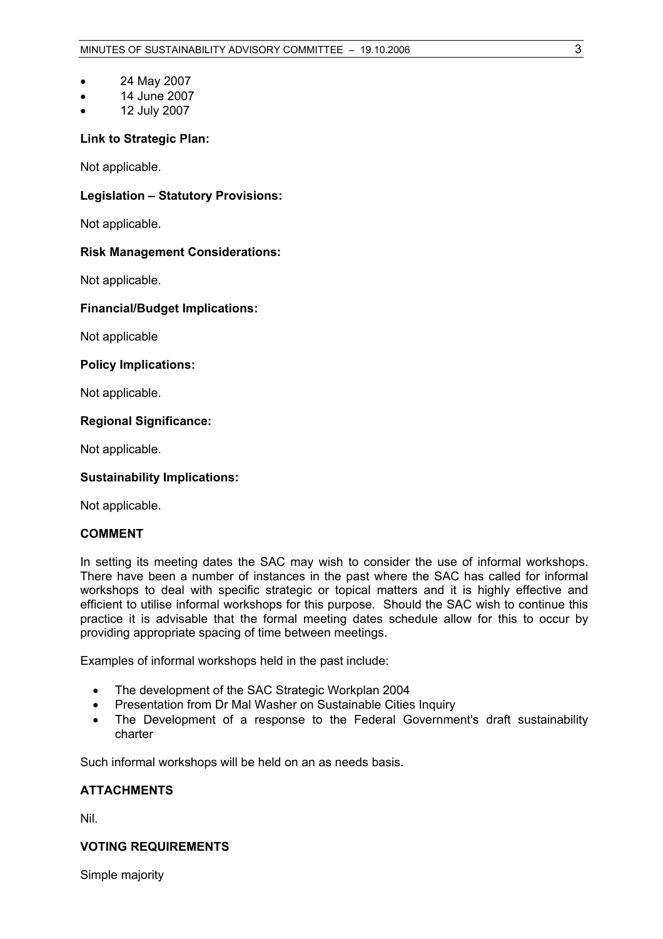- 24 May 2007
- 14 June 2007
- 12 July 2007

## **Link to Strategic Plan:**

Not applicable.

## **Legislation – Statutory Provisions:**

Not applicable.

## **Risk Management Considerations:**

Not applicable.

## **Financial/Budget Implications:**

Not applicable

## **Policy Implications:**

Not applicable.

## **Regional Significance:**

Not applicable.

## **Sustainability Implications:**

Not applicable.

## **COMMENT**

In setting its meeting dates the SAC may wish to consider the use of informal workshops. There have been a number of instances in the past where the SAC has called for informal workshops to deal with specific strategic or topical matters and it is highly effective and efficient to utilise informal workshops for this purpose. Should the SAC wish to continue this practice it is advisable that the formal meeting dates schedule allow for this to occur by providing appropriate spacing of time between meetings.

Examples of informal workshops held in the past include:

- The development of the SAC Strategic Workplan 2004
- Presentation from Dr Mal Washer on Sustainable Cities Inquiry
- The Development of a response to the Federal Government's draft sustainability charter

Such informal workshops will be held on an as needs basis.

## **ATTACHMENTS**

Nil.

## **VOTING REQUIREMENTS**

Simple majority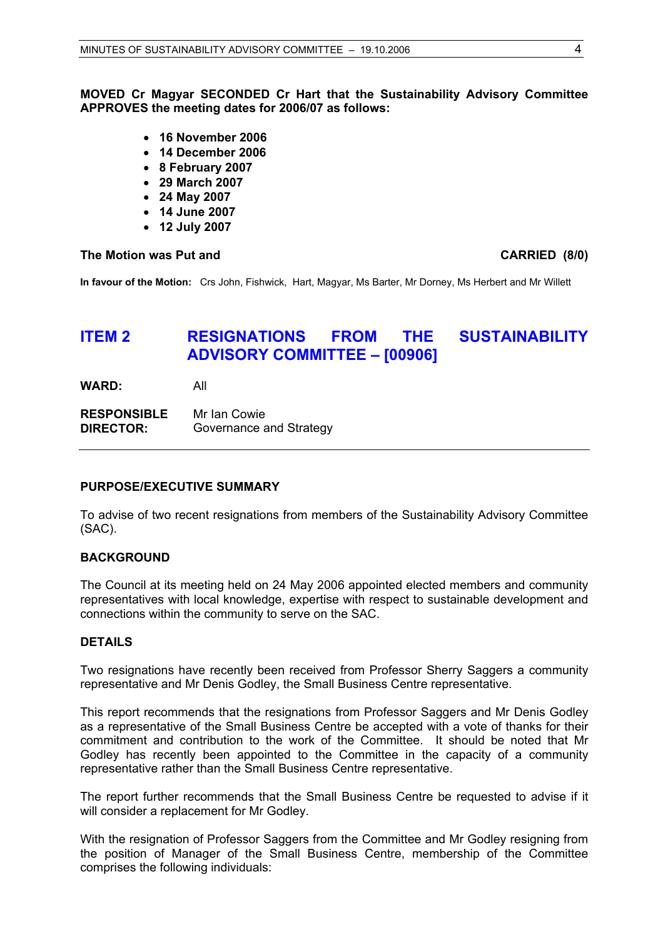**MOVED Cr Magyar SECONDED Cr Hart that the Sustainability Advisory Committee APPROVES the meeting dates for 2006/07 as follows:** 

- **16 November 2006**
- **14 December 2006**
- **8 February 2007**
- **29 March 2007**
- **24 May 2007**
- **14 June 2007**
- **12 July 2007**

#### The Motion was Put and **CARRIED** (8/0)

**In favour of the Motion:** Crs John, Fishwick, Hart, Magyar, Ms Barter, Mr Dorney, Ms Herbert and Mr Willett

# **ITEM 2 RESIGNATIONS FROM THE SUSTAINABILITY ADVISORY COMMITTEE – [00906]**

**WARD:** All

**RESPONSIBLE** Mr Ian Cowie **DIRECTOR:** Governance and Strategy

#### **PURPOSE/EXECUTIVE SUMMARY**

To advise of two recent resignations from members of the Sustainability Advisory Committee (SAC).

#### **BACKGROUND**

The Council at its meeting held on 24 May 2006 appointed elected members and community representatives with local knowledge, expertise with respect to sustainable development and connections within the community to serve on the SAC.

#### **DETAILS**

Two resignations have recently been received from Professor Sherry Saggers a community representative and Mr Denis Godley, the Small Business Centre representative.

This report recommends that the resignations from Professor Saggers and Mr Denis Godley as a representative of the Small Business Centre be accepted with a vote of thanks for their commitment and contribution to the work of the Committee. It should be noted that Mr Godley has recently been appointed to the Committee in the capacity of a community representative rather than the Small Business Centre representative.

The report further recommends that the Small Business Centre be requested to advise if it will consider a replacement for Mr Godley.

With the resignation of Professor Saggers from the Committee and Mr Godley resigning from the position of Manager of the Small Business Centre, membership of the Committee comprises the following individuals: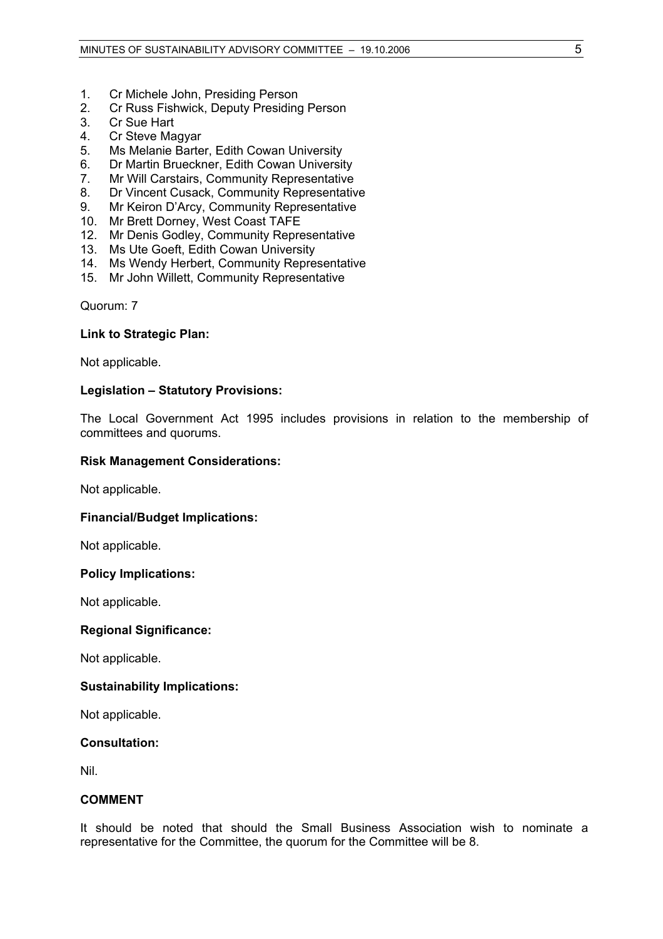- 1. Cr Michele John, Presiding Person
- 2. Cr Russ Fishwick, Deputy Presiding Person
- 3. Cr Sue Hart
- 4. Cr Steve Magyar
- 5. Ms Melanie Barter, Edith Cowan University
- 6. Dr Martin Brueckner, Edith Cowan University
- 7. Mr Will Carstairs, Community Representative
- 8. Dr Vincent Cusack, Community Representative
- 9. Mr Keiron D'Arcy, Community Representative
- 10. Mr Brett Dorney, West Coast TAFE
- 12. Mr Denis Godley, Community Representative
- 13. Ms Ute Goeft, Edith Cowan University
- 14. Ms Wendy Herbert, Community Representative
- 15. Mr John Willett, Community Representative

Quorum: 7

#### **Link to Strategic Plan:**

Not applicable.

#### **Legislation – Statutory Provisions:**

The Local Government Act 1995 includes provisions in relation to the membership of committees and quorums.

#### **Risk Management Considerations:**

Not applicable.

#### **Financial/Budget Implications:**

Not applicable.

#### **Policy Implications:**

Not applicable.

#### **Regional Significance:**

Not applicable.

#### **Sustainability Implications:**

Not applicable.

#### **Consultation:**

Nil.

## **COMMENT**

It should be noted that should the Small Business Association wish to nominate a representative for the Committee, the quorum for the Committee will be 8.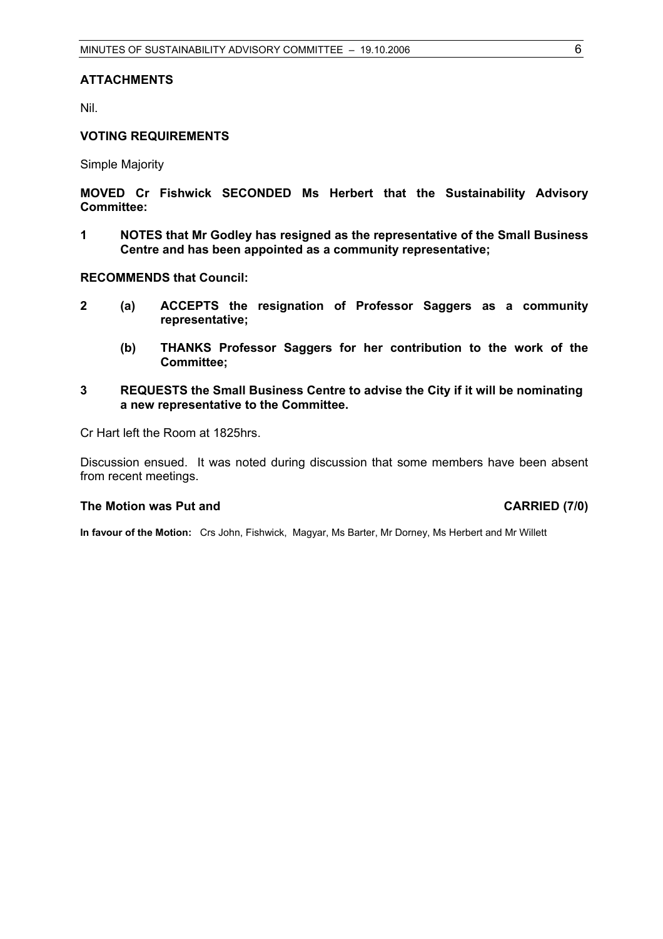## **ATTACHMENTS**

Nil.

## **VOTING REQUIREMENTS**

Simple Majority

**MOVED Cr Fishwick SECONDED Ms Herbert that the Sustainability Advisory Committee:** 

**1 NOTES that Mr Godley has resigned as the representative of the Small Business Centre and has been appointed as a community representative;** 

**RECOMMENDS that Council:** 

- **2 (a) ACCEPTS the resignation of Professor Saggers as a community representative;** 
	- **(b) THANKS Professor Saggers for her contribution to the work of the Committee;**
- **3 REQUESTS the Small Business Centre to advise the City if it will be nominating a new representative to the Committee.**

Cr Hart left the Room at 1825hrs.

Discussion ensued. It was noted during discussion that some members have been absent from recent meetings.

#### The Motion was Put and **CARRIED** (7/0)

**In favour of the Motion:** Crs John, Fishwick, Magyar, Ms Barter, Mr Dorney, Ms Herbert and Mr Willett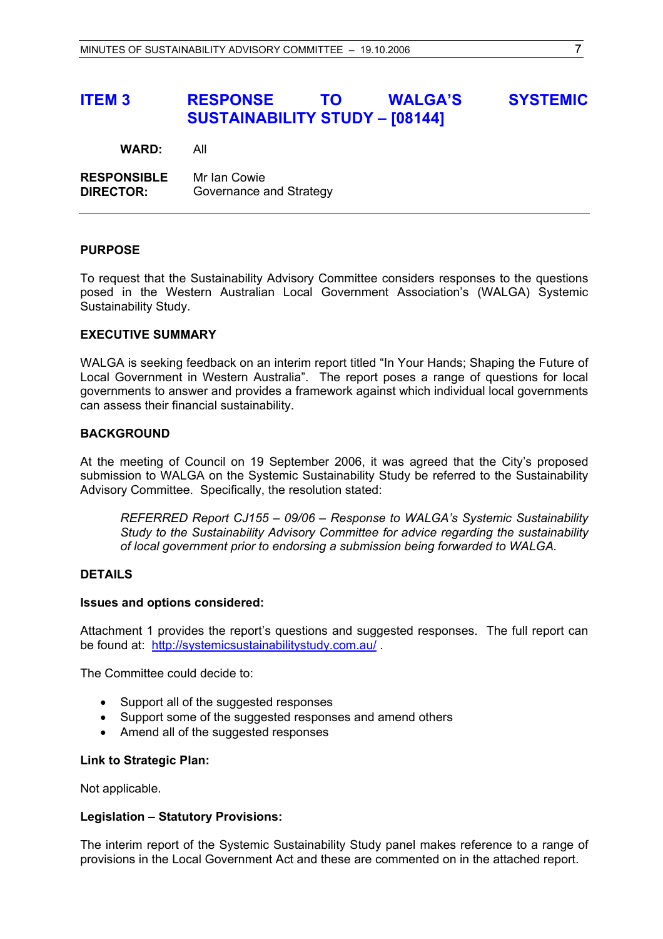# **ITEM 3 RESPONSE TO WALGA'S SYSTEMIC SUSTAINABILITY STUDY – [08144]**

**WARD:** All

**RESPONSIBLE** Mr Ian Cowie **DIRECTOR:** Governance and Strategy

#### **PURPOSE**

To request that the Sustainability Advisory Committee considers responses to the questions posed in the Western Australian Local Government Association's (WALGA) Systemic Sustainability Study.

#### **EXECUTIVE SUMMARY**

WALGA is seeking feedback on an interim report titled "In Your Hands; Shaping the Future of Local Government in Western Australia". The report poses a range of questions for local governments to answer and provides a framework against which individual local governments can assess their financial sustainability.

## **BACKGROUND**

At the meeting of Council on 19 September 2006, it was agreed that the City's proposed submission to WALGA on the Systemic Sustainability Study be referred to the Sustainability Advisory Committee. Specifically, the resolution stated:

*REFERRED Report CJ155 – 09/06 – Response to WALGA's Systemic Sustainability Study to the Sustainability Advisory Committee for advice regarding the sustainability of local government prior to endorsing a submission being forwarded to WALGA.* 

#### **DETAILS**

#### **Issues and options considered:**

Attachment 1 provides the report's questions and suggested responses. The full report can be found at: http://systemicsustainabilitystudy.com.au/ .

The Committee could decide to:

- Support all of the suggested responses
- Support some of the suggested responses and amend others
- Amend all of the suggested responses

#### **Link to Strategic Plan:**

Not applicable.

#### **Legislation – Statutory Provisions:**

The interim report of the Systemic Sustainability Study panel makes reference to a range of provisions in the Local Government Act and these are commented on in the attached report.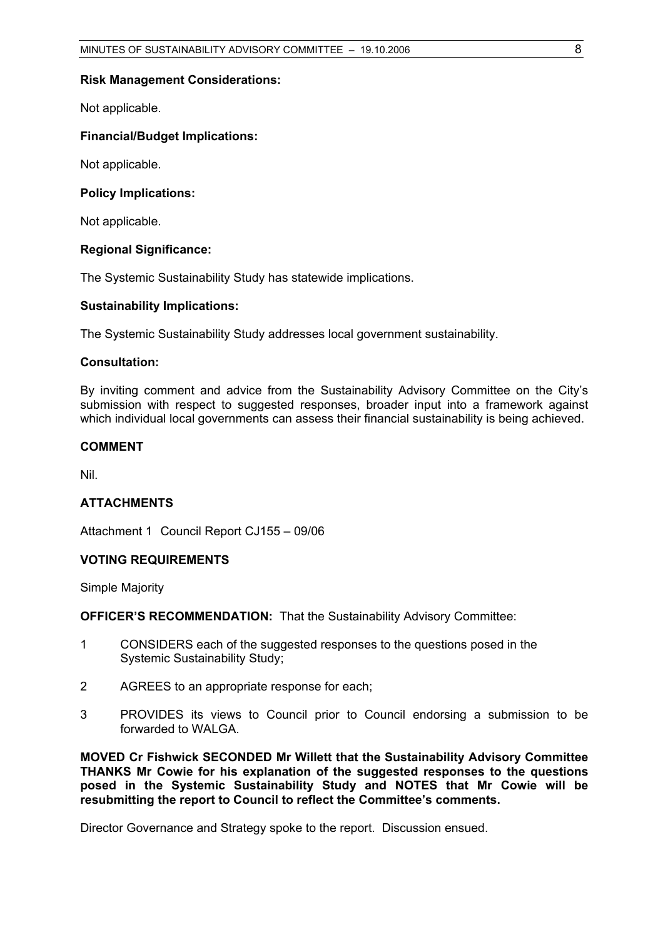#### **Risk Management Considerations:**

Not applicable.

#### **Financial/Budget Implications:**

Not applicable.

#### **Policy Implications:**

Not applicable.

#### **Regional Significance:**

The Systemic Sustainability Study has statewide implications.

#### **Sustainability Implications:**

The Systemic Sustainability Study addresses local government sustainability.

## **Consultation:**

By inviting comment and advice from the Sustainability Advisory Committee on the City's submission with respect to suggested responses, broader input into a framework against which individual local governments can assess their financial sustainability is being achieved.

#### **COMMENT**

Nil.

#### **ATTACHMENTS**

Attachment 1 Council Report CJ155 – 09/06

#### **VOTING REQUIREMENTS**

Simple Majority

**OFFICER'S RECOMMENDATION: That the Sustainability Advisory Committee:** 

- 1 CONSIDERS each of the suggested responses to the questions posed in the Systemic Sustainability Study;
- 2 AGREES to an appropriate response for each;
- 3 PROVIDES its views to Council prior to Council endorsing a submission to be forwarded to WALGA.

**MOVED Cr Fishwick SECONDED Mr Willett that the Sustainability Advisory Committee THANKS Mr Cowie for his explanation of the suggested responses to the questions posed in the Systemic Sustainability Study and NOTES that Mr Cowie will be resubmitting the report to Council to reflect the Committee's comments.** 

Director Governance and Strategy spoke to the report. Discussion ensued.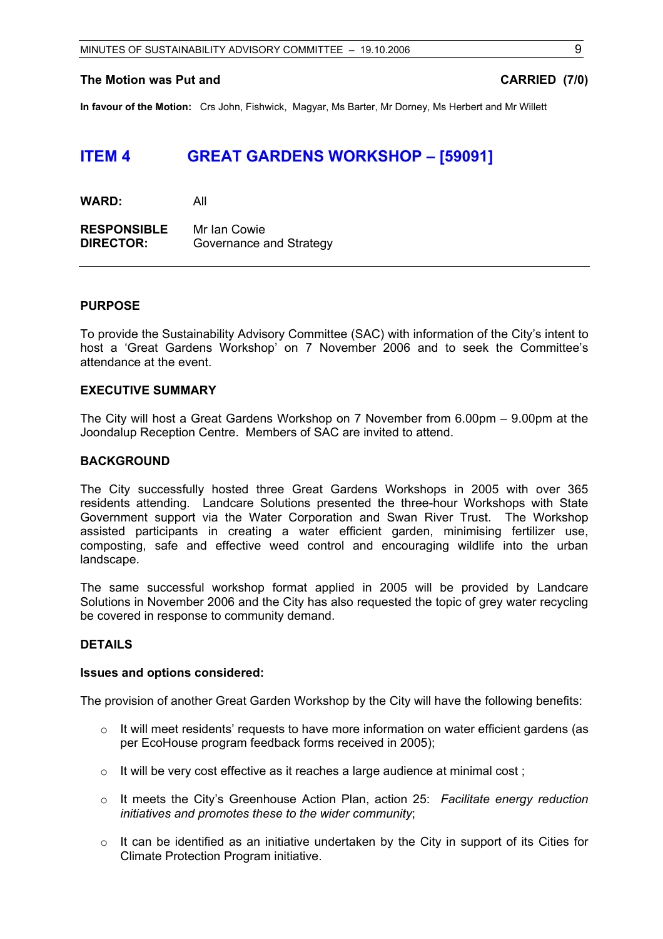#### **The Motion was Put and CARRIED (7/0) CARRIED** (7/0)

**In favour of the Motion:** Crs John, Fishwick, Magyar, Ms Barter, Mr Dorney, Ms Herbert and Mr Willett

# **ITEM 4 GREAT GARDENS WORKSHOP – [59091]**

**RESPONSIBLE** Mr Ian Cowie **DIRECTOR:** Governance and Strategy

#### **PURPOSE**

To provide the Sustainability Advisory Committee (SAC) with information of the City's intent to host a 'Great Gardens Workshop' on 7 November 2006 and to seek the Committee's attendance at the event.

## **EXECUTIVE SUMMARY**

The City will host a Great Gardens Workshop on 7 November from 6.00pm – 9.00pm at the Joondalup Reception Centre. Members of SAC are invited to attend.

#### **BACKGROUND**

The City successfully hosted three Great Gardens Workshops in 2005 with over 365 residents attending. Landcare Solutions presented the three-hour Workshops with State Government support via the Water Corporation and Swan River Trust. The Workshop assisted participants in creating a water efficient garden, minimising fertilizer use, composting, safe and effective weed control and encouraging wildlife into the urban landscape.

The same successful workshop format applied in 2005 will be provided by Landcare Solutions in November 2006 and the City has also requested the topic of grey water recycling be covered in response to community demand.

#### **DETAILS**

#### **Issues and options considered:**

The provision of another Great Garden Workshop by the City will have the following benefits:

- $\circ$  It will meet residents' requests to have more information on water efficient gardens (as per EcoHouse program feedback forms received in 2005);
- $\circ$  It will be very cost effective as it reaches a large audience at minimal cost;
- o It meets the City's Greenhouse Action Plan, action 25: *Facilitate energy reduction initiatives and promotes these to the wider community*;
- $\circ$  It can be identified as an initiative undertaken by the City in support of its Cities for Climate Protection Program initiative.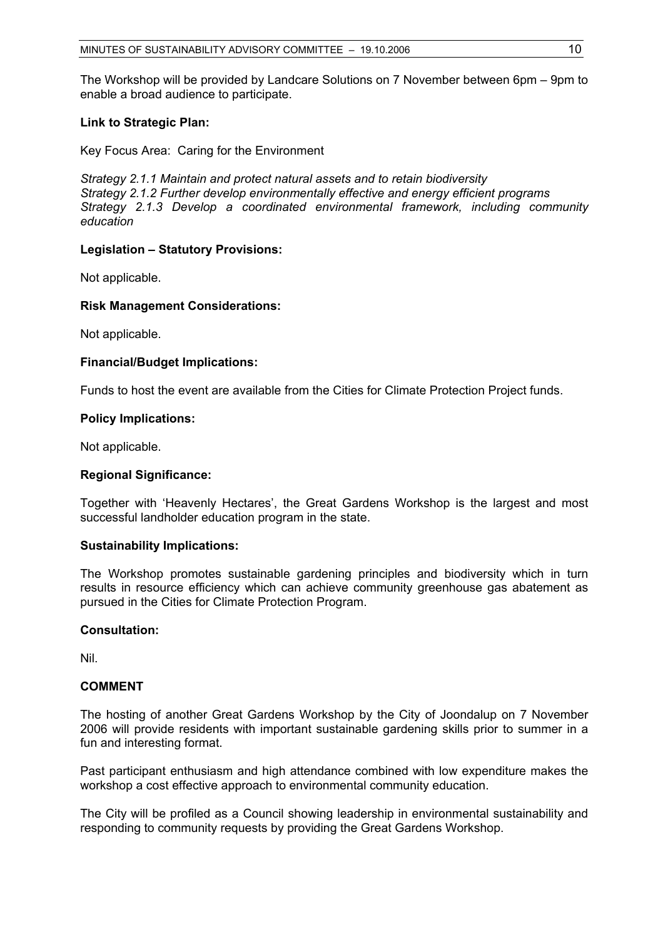The Workshop will be provided by Landcare Solutions on 7 November between 6pm – 9pm to enable a broad audience to participate.

### **Link to Strategic Plan:**

Key Focus Area: Caring for the Environment

*Strategy 2.1.1 Maintain and protect natural assets and to retain biodiversity Strategy 2.1.2 Further develop environmentally effective and energy efficient programs Strategy 2.1.3 Develop a coordinated environmental framework, including community education* 

## **Legislation – Statutory Provisions:**

Not applicable.

#### **Risk Management Considerations:**

Not applicable.

#### **Financial/Budget Implications:**

Funds to host the event are available from the Cities for Climate Protection Project funds.

## **Policy Implications:**

Not applicable.

## **Regional Significance:**

Together with 'Heavenly Hectares', the Great Gardens Workshop is the largest and most successful landholder education program in the state.

#### **Sustainability Implications:**

The Workshop promotes sustainable gardening principles and biodiversity which in turn results in resource efficiency which can achieve community greenhouse gas abatement as pursued in the Cities for Climate Protection Program.

## **Consultation:**

Nil.

## **COMMENT**

The hosting of another Great Gardens Workshop by the City of Joondalup on 7 November 2006 will provide residents with important sustainable gardening skills prior to summer in a fun and interesting format.

Past participant enthusiasm and high attendance combined with low expenditure makes the workshop a cost effective approach to environmental community education.

The City will be profiled as a Council showing leadership in environmental sustainability and responding to community requests by providing the Great Gardens Workshop.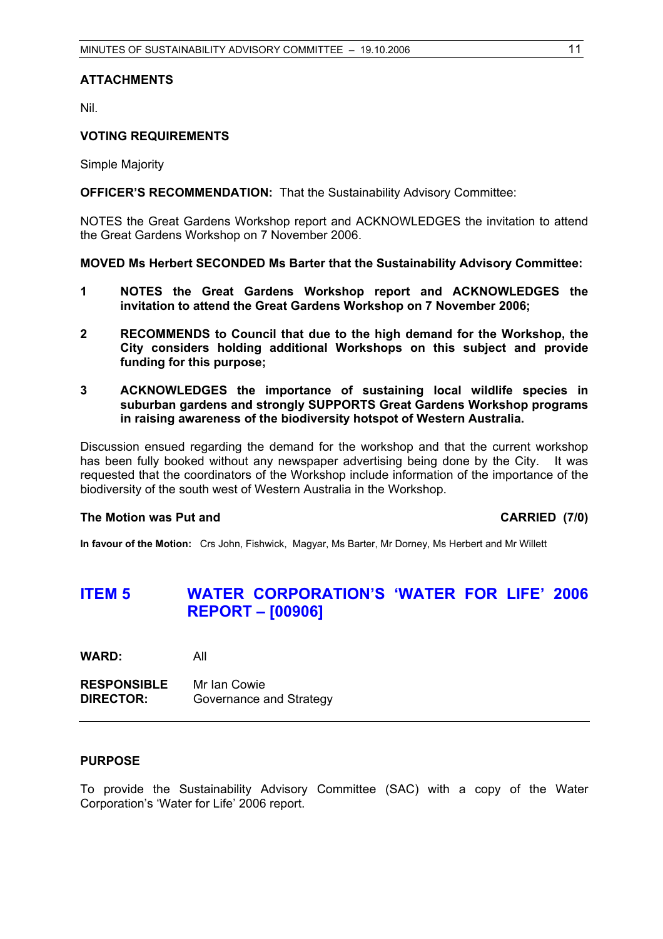## **ATTACHMENTS**

Nil.

#### **VOTING REQUIREMENTS**

Simple Majority

**OFFICER'S RECOMMENDATION:** That the Sustainability Advisory Committee:

NOTES the Great Gardens Workshop report and ACKNOWLEDGES the invitation to attend the Great Gardens Workshop on 7 November 2006.

#### **MOVED Ms Herbert SECONDED Ms Barter that the Sustainability Advisory Committee:**

- **1 NOTES the Great Gardens Workshop report and ACKNOWLEDGES the invitation to attend the Great Gardens Workshop on 7 November 2006;**
- **2 RECOMMENDS to Council that due to the high demand for the Workshop, the City considers holding additional Workshops on this subject and provide funding for this purpose;**
- **3 ACKNOWLEDGES the importance of sustaining local wildlife species in suburban gardens and strongly SUPPORTS Great Gardens Workshop programs in raising awareness of the biodiversity hotspot of Western Australia.**

Discussion ensued regarding the demand for the workshop and that the current workshop has been fully booked without any newspaper advertising being done by the City. It was requested that the coordinators of the Workshop include information of the importance of the biodiversity of the south west of Western Australia in the Workshop.

#### **The Motion was Put and CARRIED (7/0) CARRIED** (7/0)

**In favour of the Motion:** Crs John, Fishwick, Magyar, Ms Barter, Mr Dorney, Ms Herbert and Mr Willett

# **ITEM 5 WATER CORPORATION'S 'WATER FOR LIFE' 2006 REPORT – [00906]**

**WARD:** All

**RESPONSIBLE** Mr Ian Cowie **DIRECTOR:** Governance and Strategy

#### **PURPOSE**

To provide the Sustainability Advisory Committee (SAC) with a copy of the Water Corporation's 'Water for Life' 2006 report.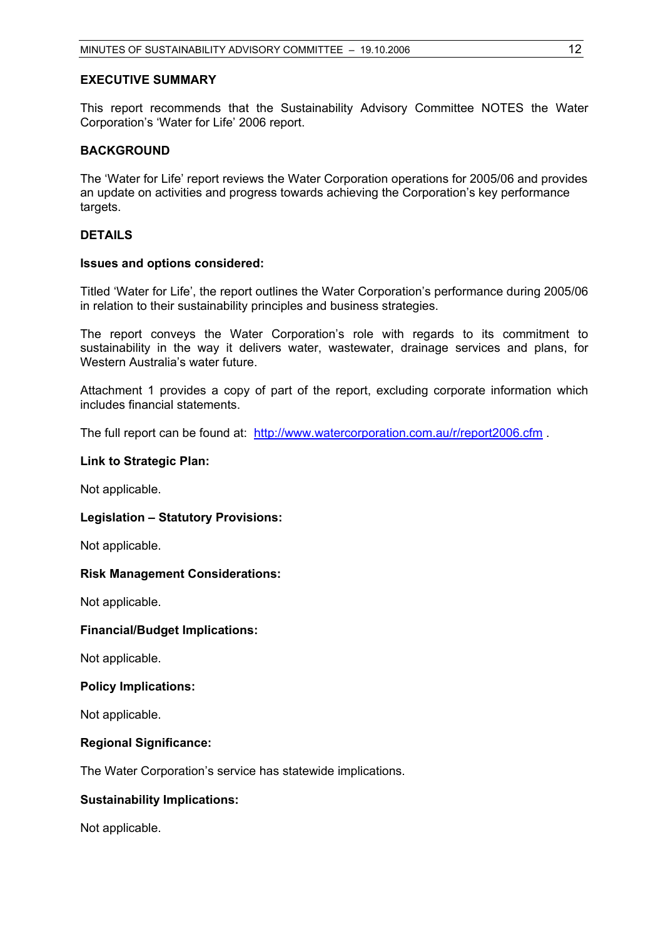## **EXECUTIVE SUMMARY**

This report recommends that the Sustainability Advisory Committee NOTES the Water Corporation's 'Water for Life' 2006 report.

#### **BACKGROUND**

The 'Water for Life' report reviews the Water Corporation operations for 2005/06 and provides an update on activities and progress towards achieving the Corporation's key performance targets.

#### **DETAILS**

#### **Issues and options considered:**

Titled 'Water for Life', the report outlines the Water Corporation's performance during 2005/06 in relation to their sustainability principles and business strategies.

The report conveys the Water Corporation's role with regards to its commitment to sustainability in the way it delivers water, wastewater, drainage services and plans, for Western Australia's water future.

Attachment 1 provides a copy of part of the report, excluding corporate information which includes financial statements.

The full report can be found at: http://www.watercorporation.com.au/r/report2006.cfm.

#### **Link to Strategic Plan:**

Not applicable.

#### **Legislation – Statutory Provisions:**

Not applicable.

#### **Risk Management Considerations:**

Not applicable.

#### **Financial/Budget Implications:**

Not applicable.

#### **Policy Implications:**

Not applicable.

#### **Regional Significance:**

The Water Corporation's service has statewide implications.

#### **Sustainability Implications:**

Not applicable.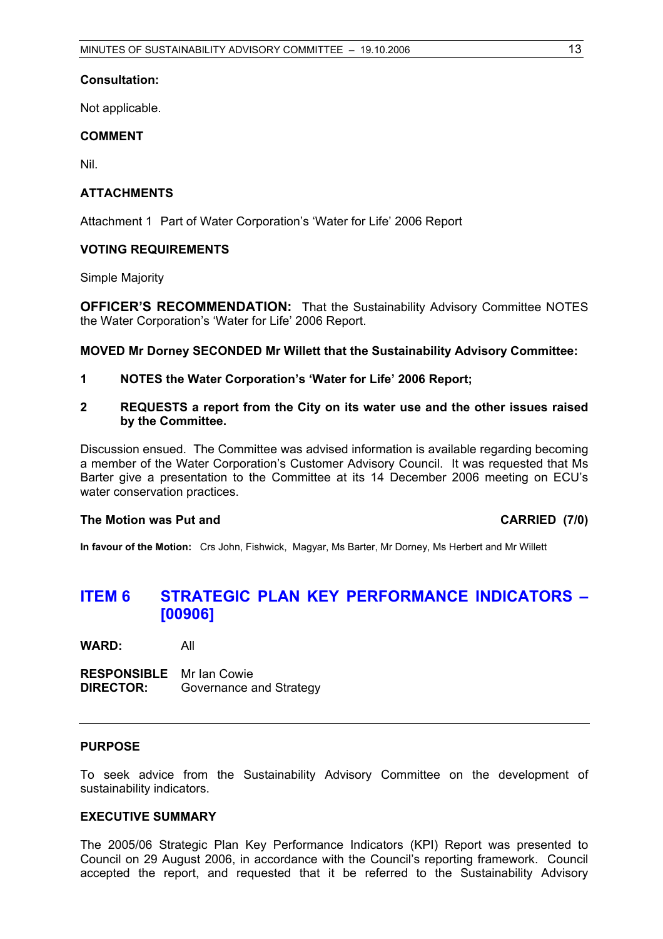## **Consultation:**

Not applicable.

## **COMMENT**

Nil.

## **ATTACHMENTS**

Attachment 1 Part of Water Corporation's 'Water for Life' 2006 Report

## **VOTING REQUIREMENTS**

Simple Majority

**OFFICER'S RECOMMENDATION:** That the Sustainability Advisory Committee NOTES the Water Corporation's 'Water for Life' 2006 Report.

**MOVED Mr Dorney SECONDED Mr Willett that the Sustainability Advisory Committee:** 

- **1 NOTES the Water Corporation's 'Water for Life' 2006 Report;**
- **2 REQUESTS a report from the City on its water use and the other issues raised by the Committee.**

Discussion ensued. The Committee was advised information is available regarding becoming a member of the Water Corporation's Customer Advisory Council. It was requested that Ms Barter give a presentation to the Committee at its 14 December 2006 meeting on ECU's water conservation practices.

## The Motion was Put and **CARRIED** (7/0)

**In favour of the Motion:** Crs John, Fishwick, Magyar, Ms Barter, Mr Dorney, Ms Herbert and Mr Willett

# **ITEM 6 STRATEGIC PLAN KEY PERFORMANCE INDICATORS – [00906]**

**WARD:** All

**RESPONSIBLE** Mr Ian Cowie **DIRECTOR:** Governance and Strategy

#### **PURPOSE**

To seek advice from the Sustainability Advisory Committee on the development of sustainability indicators.

#### **EXECUTIVE SUMMARY**

The 2005/06 Strategic Plan Key Performance Indicators (KPI) Report was presented to Council on 29 August 2006, in accordance with the Council's reporting framework. Council accepted the report, and requested that it be referred to the Sustainability Advisory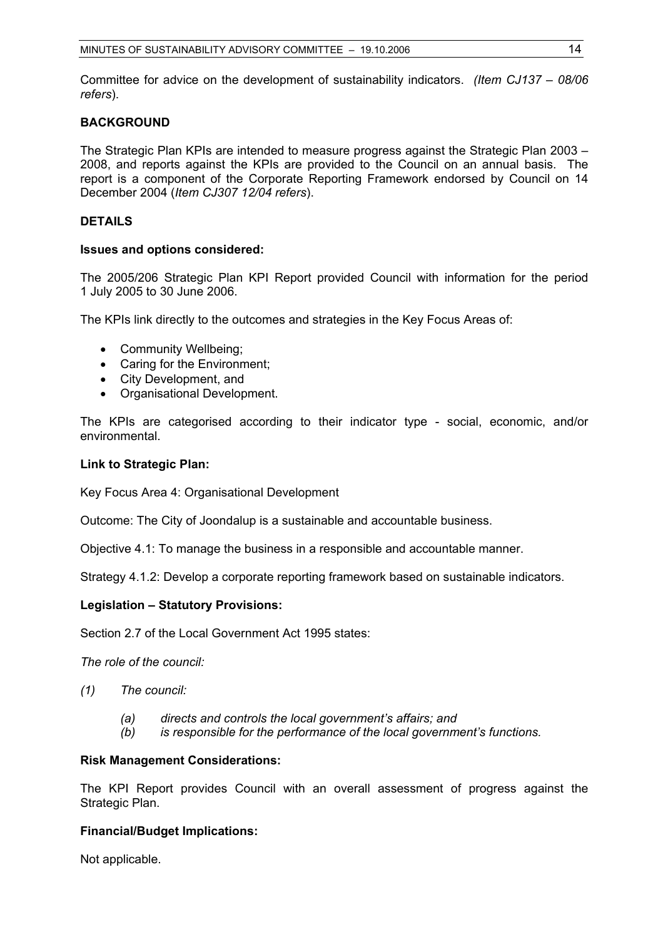Committee for advice on the development of sustainability indicators. *(Item CJ137 – 08/06 refers*).

## **BACKGROUND**

The Strategic Plan KPIs are intended to measure progress against the Strategic Plan 2003 – 2008, and reports against the KPIs are provided to the Council on an annual basis. The report is a component of the Corporate Reporting Framework endorsed by Council on 14 December 2004 (*Item CJ307 12/04 refers*).

## **DETAILS**

#### **Issues and options considered:**

The 2005/206 Strategic Plan KPI Report provided Council with information for the period 1 July 2005 to 30 June 2006.

The KPIs link directly to the outcomes and strategies in the Key Focus Areas of:

- Community Wellbeing;
- Caring for the Environment;
- City Development, and
- Organisational Development.

The KPIs are categorised according to their indicator type - social, economic, and/or environmental.

## **Link to Strategic Plan:**

Key Focus Area 4: Organisational Development

Outcome: The City of Joondalup is a sustainable and accountable business.

Objective 4.1: To manage the business in a responsible and accountable manner.

Strategy 4.1.2: Develop a corporate reporting framework based on sustainable indicators.

## **Legislation – Statutory Provisions:**

Section 2.7 of the Local Government Act 1995 states:

*The role of the council:* 

- *(1) The council:*
	- *(a) directs and controls the local government's affairs; and*
	- *(b) is responsible for the performance of the local government's functions.*

## **Risk Management Considerations:**

The KPI Report provides Council with an overall assessment of progress against the Strategic Plan.

## **Financial/Budget Implications:**

Not applicable.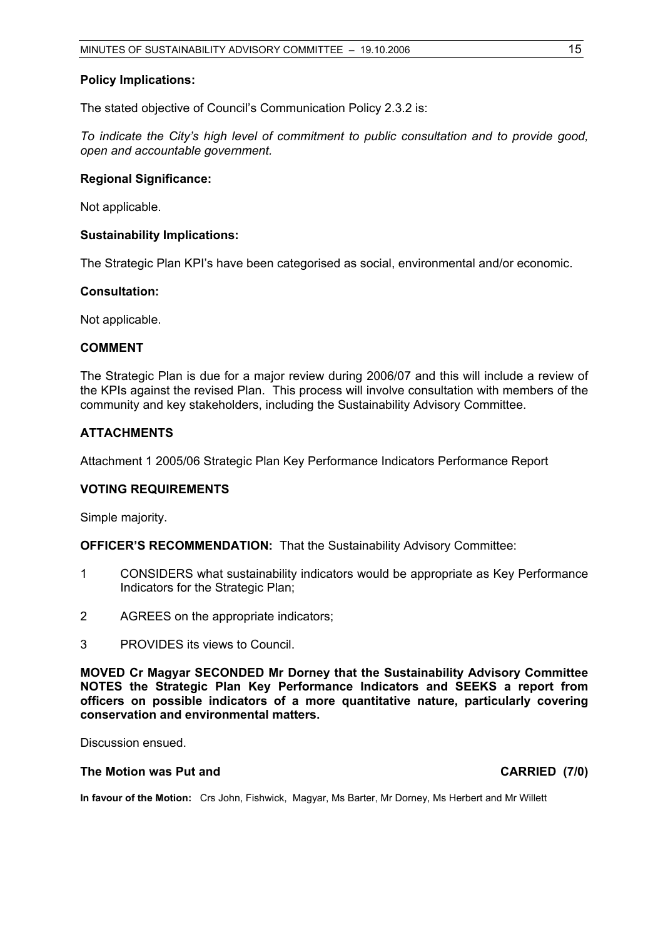#### **Policy Implications:**

The stated objective of Council's Communication Policy 2.3.2 is:

*To indicate the City's high level of commitment to public consultation and to provide good, open and accountable government.* 

## **Regional Significance:**

Not applicable.

#### **Sustainability Implications:**

The Strategic Plan KPI's have been categorised as social, environmental and/or economic.

## **Consultation:**

Not applicable.

#### **COMMENT**

The Strategic Plan is due for a major review during 2006/07 and this will include a review of the KPIs against the revised Plan. This process will involve consultation with members of the community and key stakeholders, including the Sustainability Advisory Committee.

## **ATTACHMENTS**

Attachment 1 2005/06 Strategic Plan Key Performance Indicators Performance Report

#### **VOTING REQUIREMENTS**

Simple majority.

**OFFICER'S RECOMMENDATION:** That the Sustainability Advisory Committee:

- 1 CONSIDERS what sustainability indicators would be appropriate as Key Performance Indicators for the Strategic Plan;
- 2 AGREES on the appropriate indicators;
- 3 PROVIDES its views to Council.

**MOVED Cr Magyar SECONDED Mr Dorney that the Sustainability Advisory Committee NOTES the Strategic Plan Key Performance Indicators and SEEKS a report from officers on possible indicators of a more quantitative nature, particularly covering conservation and environmental matters.** 

Discussion ensued.

## The Motion was Put and **CARRIED** (7/0)

**In favour of the Motion:** Crs John, Fishwick, Magyar, Ms Barter, Mr Dorney, Ms Herbert and Mr Willett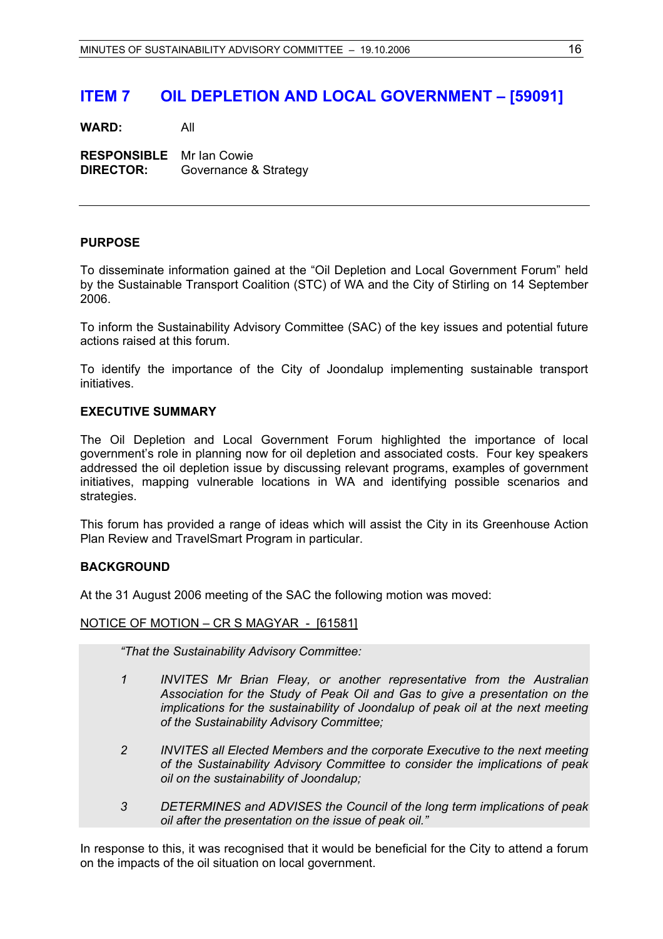# **ITEM 7 OIL DEPLETION AND LOCAL GOVERNMENT – [59091]**

**WARD:** All

**RESPONSIBLE** Mr Ian Cowie **DIRECTOR:** Governance & Strategy

## **PURPOSE**

To disseminate information gained at the "Oil Depletion and Local Government Forum" held by the Sustainable Transport Coalition (STC) of WA and the City of Stirling on 14 September 2006.

To inform the Sustainability Advisory Committee (SAC) of the key issues and potential future actions raised at this forum.

To identify the importance of the City of Joondalup implementing sustainable transport initiatives.

## **EXECUTIVE SUMMARY**

The Oil Depletion and Local Government Forum highlighted the importance of local government's role in planning now for oil depletion and associated costs. Four key speakers addressed the oil depletion issue by discussing relevant programs, examples of government initiatives, mapping vulnerable locations in WA and identifying possible scenarios and strategies.

This forum has provided a range of ideas which will assist the City in its Greenhouse Action Plan Review and TravelSmart Program in particular.

#### **BACKGROUND**

At the 31 August 2006 meeting of the SAC the following motion was moved:

#### NOTICE OF MOTION – CR S MAGYAR - [61581]

*"That the Sustainability Advisory Committee:* 

- *1 INVITES Mr Brian Fleay, or another representative from the Australian Association for the Study of Peak Oil and Gas to give a presentation on the implications for the sustainability of Joondalup of peak oil at the next meeting of the Sustainability Advisory Committee;*
- *2 INVITES all Elected Members and the corporate Executive to the next meeting of the Sustainability Advisory Committee to consider the implications of peak oil on the sustainability of Joondalup;*
- *3 DETERMINES and ADVISES the Council of the long term implications of peak oil after the presentation on the issue of peak oil."*

In response to this, it was recognised that it would be beneficial for the City to attend a forum on the impacts of the oil situation on local government.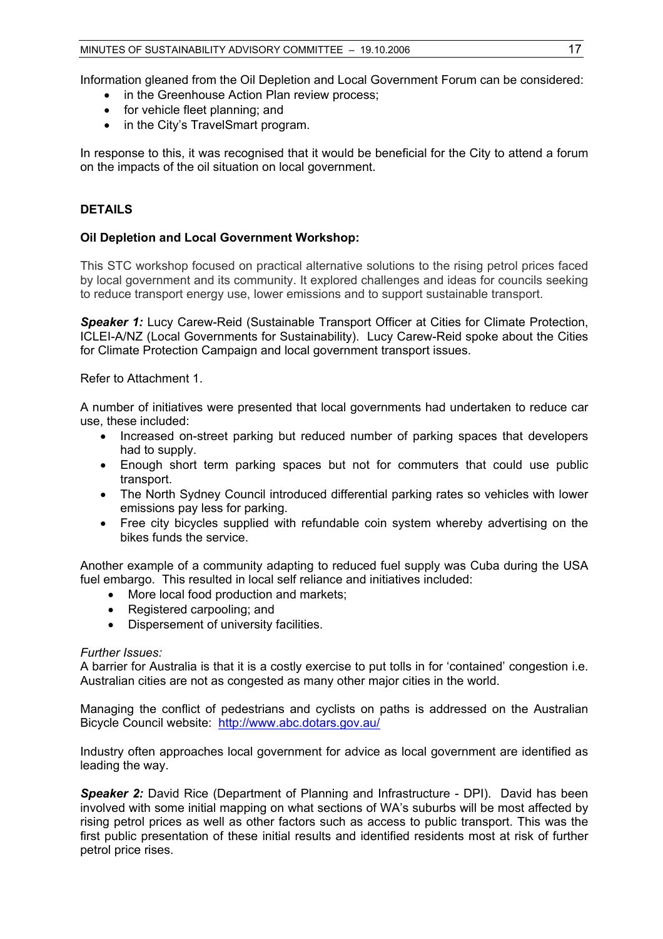Information gleaned from the Oil Depletion and Local Government Forum can be considered:

- in the Greenhouse Action Plan review process;
- for vehicle fleet planning; and
- in the City's TravelSmart program.

In response to this, it was recognised that it would be beneficial for the City to attend a forum on the impacts of the oil situation on local government.

## **DETAILS**

## **Oil Depletion and Local Government Workshop:**

This STC workshop focused on practical alternative solutions to the rising petrol prices faced by local government and its community. It explored challenges and ideas for councils seeking to reduce transport energy use, lower emissions and to support sustainable transport.

**Speaker 1:** Lucy Carew-Reid (Sustainable Transport Officer at Cities for Climate Protection, ICLEI-A/NZ (Local Governments for Sustainability). Lucy Carew-Reid spoke about the Cities for Climate Protection Campaign and local government transport issues.

Refer to Attachment 1.

A number of initiatives were presented that local governments had undertaken to reduce car use, these included:

- Increased on-street parking but reduced number of parking spaces that developers had to supply.
- Enough short term parking spaces but not for commuters that could use public transport.
- The North Sydney Council introduced differential parking rates so vehicles with lower emissions pay less for parking.
- Free city bicycles supplied with refundable coin system whereby advertising on the bikes funds the service.

Another example of a community adapting to reduced fuel supply was Cuba during the USA fuel embargo. This resulted in local self reliance and initiatives included:

- More local food production and markets;
- Registered carpooling; and
- Dispersement of university facilities.

#### *Further Issues:*

A barrier for Australia is that it is a costly exercise to put tolls in for 'contained' congestion i.e. Australian cities are not as congested as many other major cities in the world.

Managing the conflict of pedestrians and cyclists on paths is addressed on the Australian Bicycle Council website: http://www.abc.dotars.gov.au/

Industry often approaches local government for advice as local government are identified as leading the way.

**Speaker 2:** David Rice (Department of Planning and Infrastructure - DPI). David has been involved with some initial mapping on what sections of WA's suburbs will be most affected by rising petrol prices as well as other factors such as access to public transport. This was the first public presentation of these initial results and identified residents most at risk of further petrol price rises.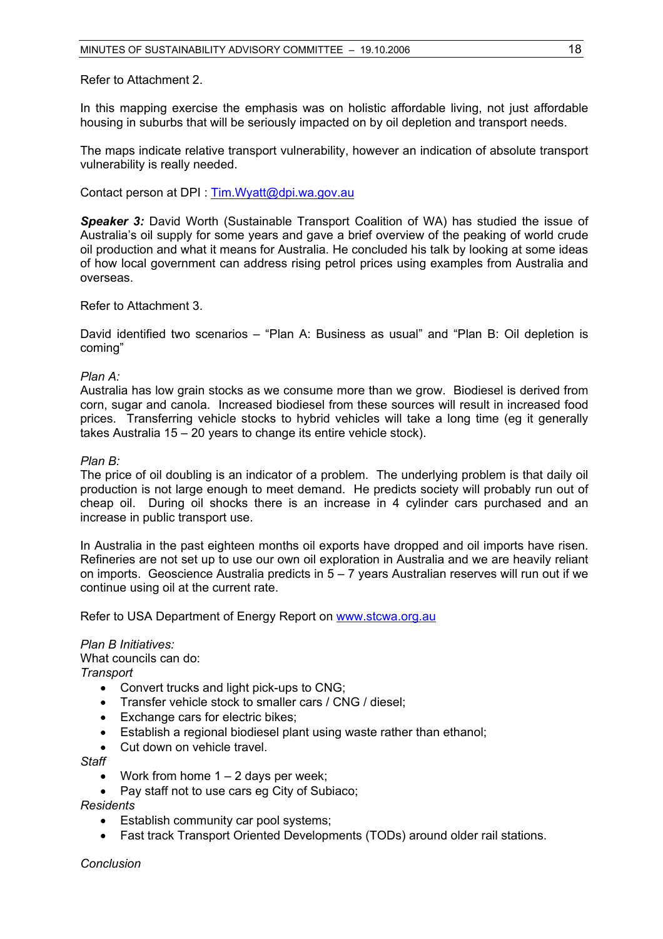Refer to Attachment 2.

In this mapping exercise the emphasis was on holistic affordable living, not just affordable housing in suburbs that will be seriously impacted on by oil depletion and transport needs.

The maps indicate relative transport vulnerability, however an indication of absolute transport vulnerability is really needed.

Contact person at DPI : Tim.Wyatt@dpi.wa.gov.au

**Speaker 3:** David Worth (Sustainable Transport Coalition of WA) has studied the issue of Australia's oil supply for some years and gave a brief overview of the peaking of world crude oil production and what it means for Australia. He concluded his talk by looking at some ideas of how local government can address rising petrol prices using examples from Australia and overseas.

Refer to Attachment 3.

David identified two scenarios – "Plan A: Business as usual" and "Plan B: Oil depletion is coming"

*Plan A:* 

Australia has low grain stocks as we consume more than we grow. Biodiesel is derived from corn, sugar and canola. Increased biodiesel from these sources will result in increased food prices. Transferring vehicle stocks to hybrid vehicles will take a long time (eg it generally takes Australia 15 – 20 years to change its entire vehicle stock).

#### *Plan B:*

The price of oil doubling is an indicator of a problem. The underlying problem is that daily oil production is not large enough to meet demand. He predicts society will probably run out of cheap oil. During oil shocks there is an increase in 4 cylinder cars purchased and an increase in public transport use.

In Australia in the past eighteen months oil exports have dropped and oil imports have risen. Refineries are not set up to use our own oil exploration in Australia and we are heavily reliant on imports. Geoscience Australia predicts in 5 – 7 years Australian reserves will run out if we continue using oil at the current rate.

Refer to USA Department of Energy Report on www.stcwa.org.au

#### *Plan B Initiatives:*

What councils can do:

*Transport* 

- Convert trucks and light pick-ups to CNG;
- Transfer vehicle stock to smaller cars / CNG / diesel;
- Exchange cars for electric bikes;
- Establish a regional biodiesel plant using waste rather than ethanol;
- Cut down on vehicle travel.
- *Staff* 
	- Work from home  $1 2$  days per week;
	- Pay staff not to use cars eg City of Subiaco;

#### *Residents*

- Establish community car pool systems;
- Fast track Transport Oriented Developments (TODs) around older rail stations.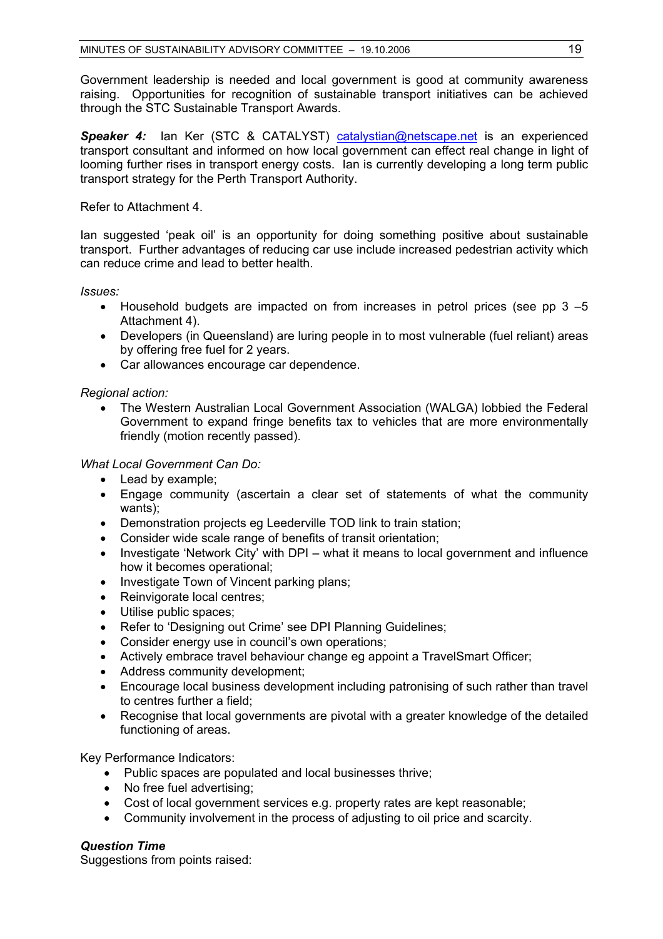Government leadership is needed and local government is good at community awareness raising. Opportunities for recognition of sustainable transport initiatives can be achieved through the STC Sustainable Transport Awards.

**Speaker 4:** Ian Ker (STC & CATALYST) catalystian@netscape.net is an experienced transport consultant and informed on how local government can effect real change in light of looming further rises in transport energy costs. Ian is currently developing a long term public transport strategy for the Perth Transport Authority.

Refer to Attachment 4.

Ian suggested 'peak oil' is an opportunity for doing something positive about sustainable transport. Further advantages of reducing car use include increased pedestrian activity which can reduce crime and lead to better health.

*Issues:* 

- Household budgets are impacted on from increases in petrol prices (see pp 3 –5) Attachment 4).
- Developers (in Queensland) are luring people in to most vulnerable (fuel reliant) areas by offering free fuel for 2 years.
- Car allowances encourage car dependence.

*Regional action:* 

• The Western Australian Local Government Association (WALGA) lobbied the Federal Government to expand fringe benefits tax to vehicles that are more environmentally friendly (motion recently passed).

*What Local Government Can Do:* 

- Lead by example;
- Engage community (ascertain a clear set of statements of what the community wants);
- Demonstration projects eg Leederville TOD link to train station;
- Consider wide scale range of benefits of transit orientation;
- Investigate 'Network City' with DPI what it means to local government and influence how it becomes operational;
- Investigate Town of Vincent parking plans:
- Reinvigorate local centres;
- Utilise public spaces;
- Refer to 'Designing out Crime' see DPI Planning Guidelines;
- Consider energy use in council's own operations;
- Actively embrace travel behaviour change eg appoint a TravelSmart Officer;
- Address community development;
- Encourage local business development including patronising of such rather than travel to centres further a field;
- Recognise that local governments are pivotal with a greater knowledge of the detailed functioning of areas.

Key Performance Indicators:

- Public spaces are populated and local businesses thrive;
- No free fuel advertising:
- Cost of local government services e.g. property rates are kept reasonable;
- Community involvement in the process of adjusting to oil price and scarcity.

## *Question Time*

Suggestions from points raised: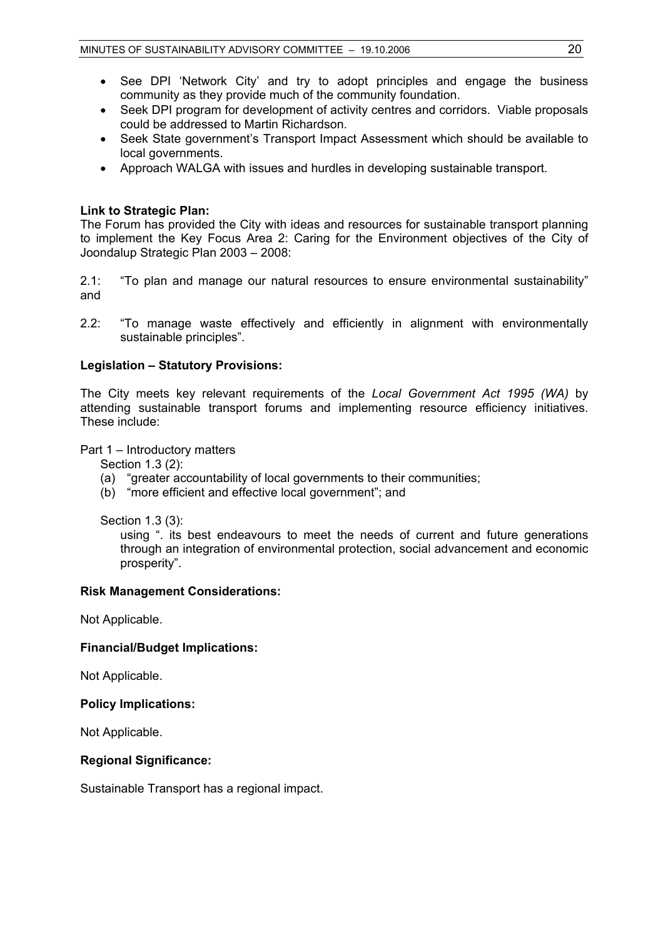- See DPI 'Network City' and try to adopt principles and engage the business community as they provide much of the community foundation.
- Seek DPI program for development of activity centres and corridors. Viable proposals could be addressed to Martin Richardson.
- Seek State government's Transport Impact Assessment which should be available to local governments.
- Approach WALGA with issues and hurdles in developing sustainable transport.

## **Link to Strategic Plan:**

The Forum has provided the City with ideas and resources for sustainable transport planning to implement the Key Focus Area 2: Caring for the Environment objectives of the City of Joondalup Strategic Plan 2003 – 2008:

2.1: "To plan and manage our natural resources to ensure environmental sustainability" and

2.2: "To manage waste effectively and efficiently in alignment with environmentally sustainable principles".

## **Legislation – Statutory Provisions:**

The City meets key relevant requirements of the *Local Government Act 1995 (WA)* by attending sustainable transport forums and implementing resource efficiency initiatives. These include:

Part 1 – Introductory matters

Section 1.3 (2):

- (a) "greater accountability of local governments to their communities;
- (b) "more efficient and effective local government"; and

Section 1.3 (3):

using ". its best endeavours to meet the needs of current and future generations through an integration of environmental protection, social advancement and economic prosperity".

## **Risk Management Considerations:**

Not Applicable.

## **Financial/Budget Implications:**

Not Applicable.

#### **Policy Implications:**

Not Applicable.

## **Regional Significance:**

Sustainable Transport has a regional impact.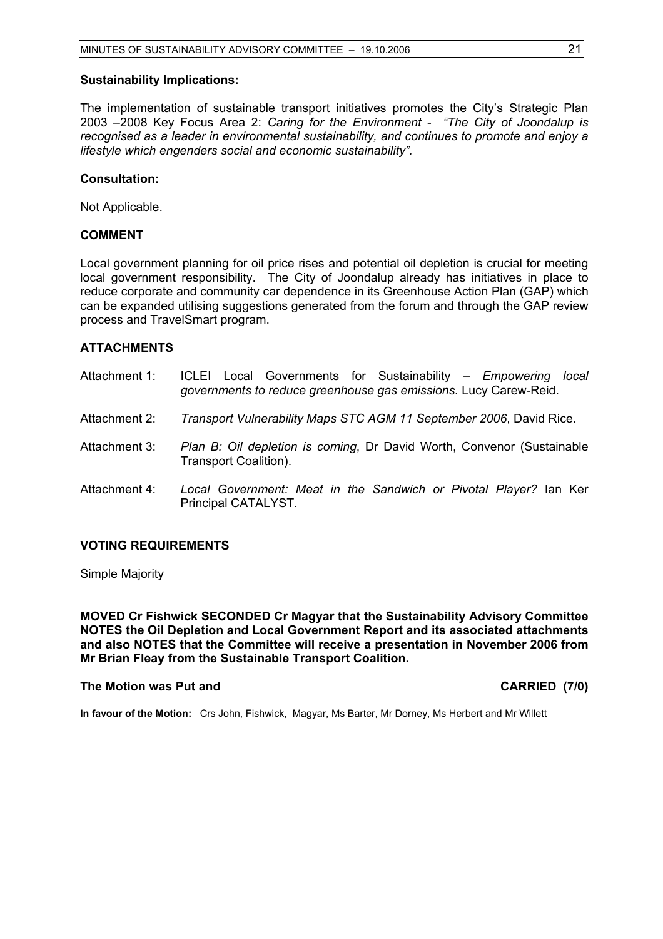#### **Sustainability Implications:**

The implementation of sustainable transport initiatives promotes the City's Strategic Plan 2003 –2008 Key Focus Area 2: *Caring for the Environment - "The City of Joondalup is recognised as a leader in environmental sustainability, and continues to promote and enjoy a lifestyle which engenders social and economic sustainability".*

#### **Consultation:**

Not Applicable.

#### **COMMENT**

Local government planning for oil price rises and potential oil depletion is crucial for meeting local government responsibility. The City of Joondalup already has initiatives in place to reduce corporate and community car dependence in its Greenhouse Action Plan (GAP) which can be expanded utilising suggestions generated from the forum and through the GAP review process and TravelSmart program.

#### **ATTACHMENTS**

| Attachment 1: | ICLEI Local Governments for Sustainability - Empowering<br>local<br>governments to reduce greenhouse gas emissions. Lucy Carew-Reid. |
|---------------|--------------------------------------------------------------------------------------------------------------------------------------|
| Attachment 2: | Transport Vulnerability Maps STC AGM 11 September 2006, David Rice.                                                                  |
| Attachment 3: | Plan B: Oil depletion is coming, Dr David Worth, Convenor (Sustainable<br>Transport Coalition).                                      |
| Attachment 4: | Local Government: Meat in the Sandwich or Pivotal Player? Ian Ker<br>Principal CATALYST.                                             |

## **VOTING REQUIREMENTS**

Simple Majority

**MOVED Cr Fishwick SECONDED Cr Magyar that the Sustainability Advisory Committee NOTES the Oil Depletion and Local Government Report and its associated attachments and also NOTES that the Committee will receive a presentation in November 2006 from Mr Brian Fleay from the Sustainable Transport Coalition.** 

#### **The Motion was Put and CARRIED (7/0) CARRIED** (7/0)

**In favour of the Motion:** Crs John, Fishwick, Magyar, Ms Barter, Mr Dorney, Ms Herbert and Mr Willett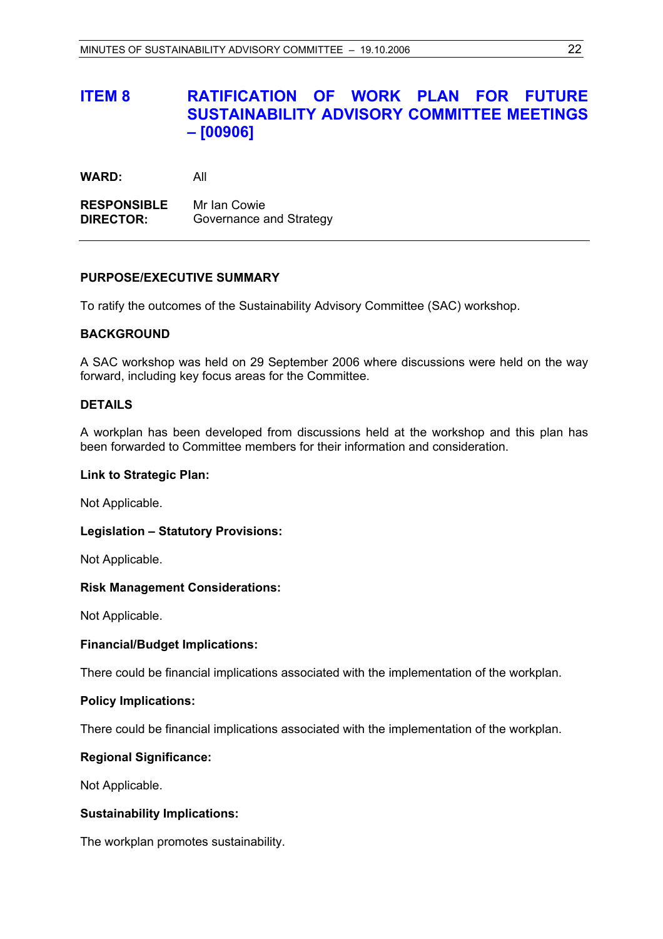# **ITEM 8 RATIFICATION OF WORK PLAN FOR FUTURE SUSTAINABILITY ADVISORY COMMITTEE MEETINGS – [00906]**

**WARD:** All

**RESPONSIBLE** Mr Ian Cowie **DIRECTOR:** Governance and Strategy

## **PURPOSE/EXECUTIVE SUMMARY**

To ratify the outcomes of the Sustainability Advisory Committee (SAC) workshop.

## **BACKGROUND**

A SAC workshop was held on 29 September 2006 where discussions were held on the way forward, including key focus areas for the Committee.

## **DETAILS**

A workplan has been developed from discussions held at the workshop and this plan has been forwarded to Committee members for their information and consideration.

#### **Link to Strategic Plan:**

Not Applicable.

## **Legislation – Statutory Provisions:**

Not Applicable.

#### **Risk Management Considerations:**

Not Applicable.

## **Financial/Budget Implications:**

There could be financial implications associated with the implementation of the workplan.

#### **Policy Implications:**

There could be financial implications associated with the implementation of the workplan.

## **Regional Significance:**

Not Applicable.

## **Sustainability Implications:**

The workplan promotes sustainability.